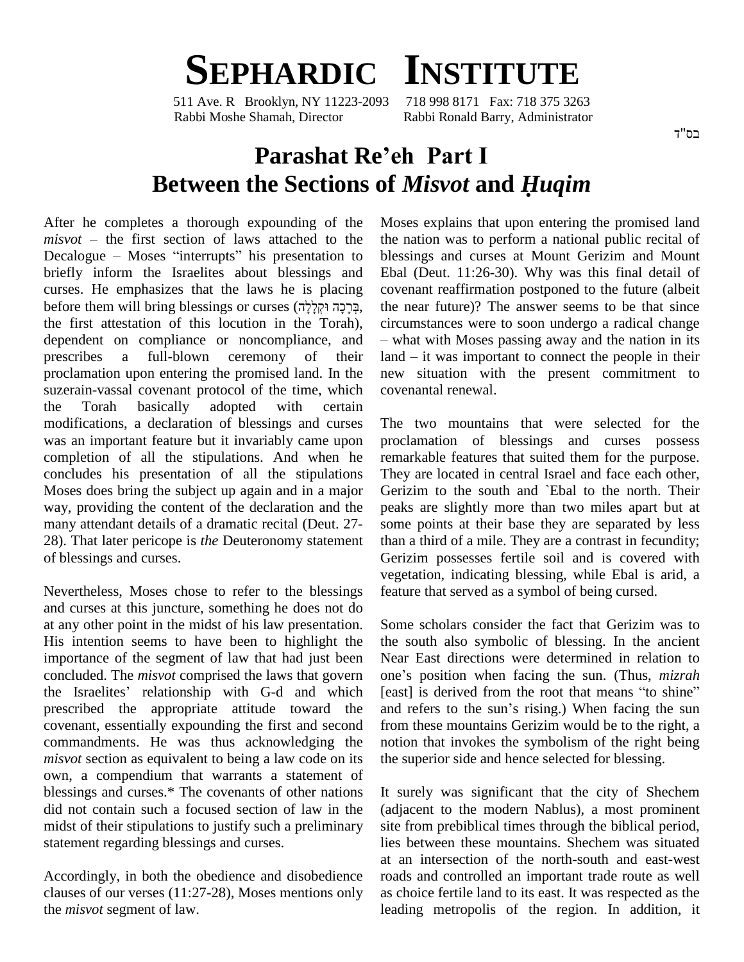

511 Ave. R Brooklyn, NY 11223-2093 Rabbi Moshe Shamah, Director Rabbi Ronald Barry, Administrator

## **Parashat Reíeh Part <sup>I</sup> Between the Sections of** *Misvot* **and** *<sup>H</sup>uqim*

After he completes a thorough expounding of the Mose After he completes a thorough expounding of the Mose<br>*misvot* – the first section of laws attached to the the n  $misvot$  – the first section of laws attached to the Decalogue – Moses "interrupts" his presentation to briefly inform the Israelites about blessings and curses. He emphasizes that the laws he is placing briefly inform the Israelites about blessings and E<br>curses. He emphasizes that the laws he is placing conses (קְרָקָה וּקְלָלָה, th the first attestation of this locution in the Torah), dependent on compliance or noncompliance, and prescribes a full-blown ceremony of their land – it was important to connect the people in their proclamation upon entering the promised land. In the suzerain-vassal covenant protocol of the time, which the Torah basically adopted with certain modifications, a declaration of blessings and curses was an important feature but it invariably came upon completion of all the stipulations. And when he concludes his presentation of all the stipulations Moses does bring the subject up again and in a major way, providing the content of the declaration and the many attendant details of a dramatic recital (Deut. 27- 28). That later pericope is *the* Deuteronomy statement of blessings and curses.

Nevertheless, Moses chose to refer to the blessings and curses at this juncture, something he does not do at any other point in the midst of his law presentation. His intention seems to have been to highlight the importance of the segment of law that had just been concluded. The *misvot* comprised the laws that govern the Israelites' relationship with G-d and which [east] is derived from the root that means "to shine" prescribed the appropriate attitude toward the and refers to the sun's rising.) When facing the sun covenant, essentially expounding the first and second commandments. He was thus acknowledging the *misvot* section as equivalent to being a law code on its own, a compendium that warrants a statement of blessings and curses.\* The covenants of other nations did not contain such a focused section of law in the midst of their stipulations to justify such a preliminary statement regarding blessings and curses.

Accordingly, in both the obedience and disobedience clauses of our verses (11:27-28), Moses mentions only the *misvot* segment of law.

Moses explains that upon entering the promised land the nation was to perform a national public recital of blessings and curses at Mount Gerizim and Mount Ebal (Deut. 11:26-30). Why was this final detail of covenant reaffirmation postponed to the future (albeit the near future)? The answer seems to be that since the near future)? The answer seems to be that since circumstances were to soon undergo a radical change – what with Moses passing away and the nation in its circumstances were to soon undergo a radical change<br>- what with Moses passing away and the nation in its<br>land - it was important to connect the people in their new situation with the present commitment to covenantal renewal.

The two mountains that were selected for the proclamation of blessings and curses possess remarkable features that suited them for the purpose. They are located in central Israel and face each other, Gerizim to the south and `Ebal to the north. Their peaks are slightly more than two miles apart but at some points at their base they are separated by less than a third of a mile. They are a contrast in fecundity; Gerizim possesses fertile soil and is covered with vegetation, indicating blessing, while Ebal is arid, a feature that served as a symbol of being cursed.

Some scholars consider the fact that Gerizim was to the south also symbolic of blessing. In the ancient<br>Near East directions were determined in relation to<br>one's position when facing the sun. (Thus, *mizrah* Near East directions were determined in relation to Near East directions were determined in relation to one's position when facing the sun. (Thus, *mizrah* [east] is derived from the root that means "to shine" one's position when facing the sun. (Thus, *mizrah* [east] is derived from the root that means "to shine" and refers to the sun's rising.) When facing the sun from these mountains Gerizim would be to the right, a notion that invokes the symbolism of the right being the superior side and hence selected for blessing.

It surely was significant that the city of Shechem (adjacent to the modern Nablus), a most prominent site from prebiblical times through the biblical period, lies between these mountains. Shechem was situated at an intersection of the north-south and east-west roads and controlled an important trade route as well as choice fertile land to its east. It was respected as the leading metropolis of the region. In addition, it